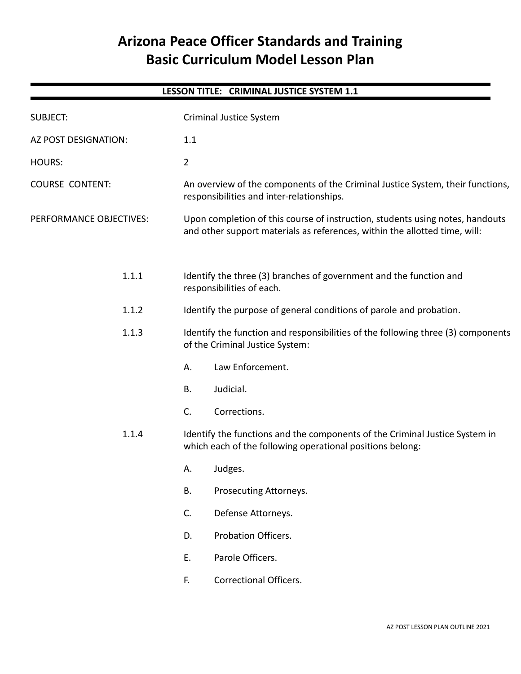# **Arizona Peace Officer Standards and Training Basic Curriculum Model Lesson Plan**

|                         | LESSON TITLE: CRIMINAL JUSTICE SYSTEM 1.1                                                                                                                   |  |
|-------------------------|-------------------------------------------------------------------------------------------------------------------------------------------------------------|--|
| <b>SUBJECT:</b>         | Criminal Justice System                                                                                                                                     |  |
| AZ POST DESIGNATION:    | 1.1                                                                                                                                                         |  |
| <b>HOURS:</b>           | $\overline{2}$                                                                                                                                              |  |
| <b>COURSE CONTENT:</b>  | An overview of the components of the Criminal Justice System, their functions,<br>responsibilities and inter-relationships.                                 |  |
| PERFORMANCE OBJECTIVES: | Upon completion of this course of instruction, students using notes, handouts<br>and other support materials as references, within the allotted time, will: |  |
| 1.1.1                   | Identify the three (3) branches of government and the function and<br>responsibilities of each.                                                             |  |
| 1.1.2                   | Identify the purpose of general conditions of parole and probation.                                                                                         |  |
| 1.1.3                   | Identify the function and responsibilities of the following three (3) components<br>of the Criminal Justice System:                                         |  |
|                         | Law Enforcement.<br>А.                                                                                                                                      |  |
|                         | Judicial.<br>B.                                                                                                                                             |  |
|                         | C.<br>Corrections.                                                                                                                                          |  |
| 1.1.4                   | Identify the functions and the components of the Criminal Justice System in<br>which each of the following operational positions belong:                    |  |
|                         | A. Judges.                                                                                                                                                  |  |
|                         | <b>B.</b><br>Prosecuting Attorneys.                                                                                                                         |  |
|                         | C.<br>Defense Attorneys.                                                                                                                                    |  |
|                         | Probation Officers.<br>D.                                                                                                                                   |  |
|                         | Ε.<br>Parole Officers.                                                                                                                                      |  |
|                         | <b>Correctional Officers.</b><br>F.                                                                                                                         |  |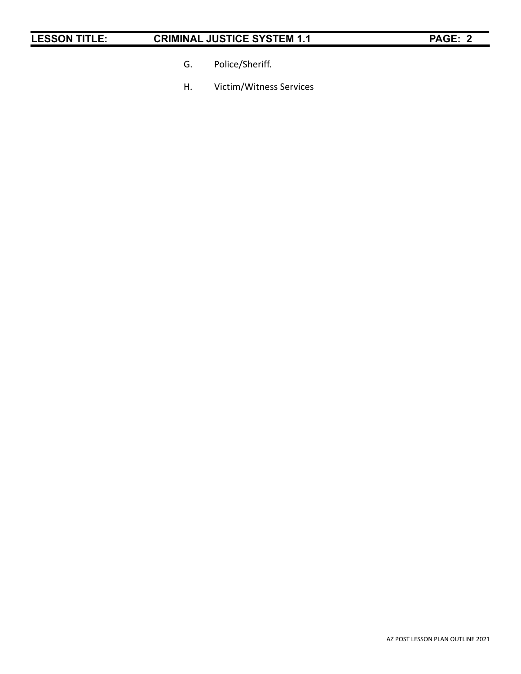- G. Police/Sheriff.
- H. Victim/Witness Services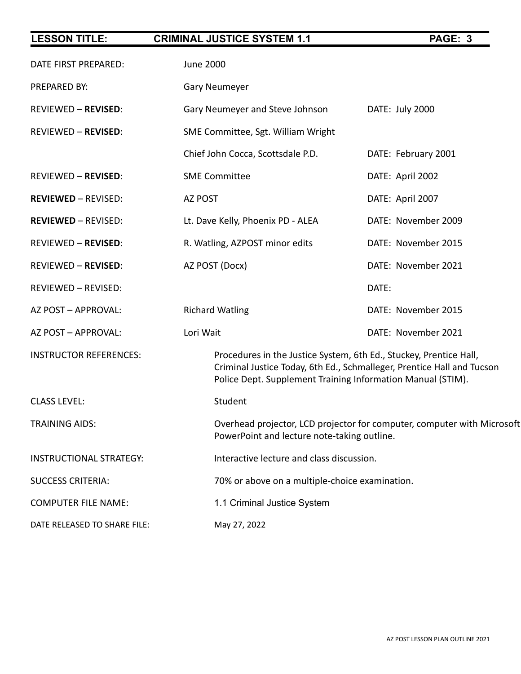| <b>LESSON TITLE:</b>           | <b>CRIMINAL JUSTICE SYSTEM 1.1</b>        | PAGE: 3                                                                                                                                                                                                     |  |
|--------------------------------|-------------------------------------------|-------------------------------------------------------------------------------------------------------------------------------------------------------------------------------------------------------------|--|
| DATE FIRST PREPARED:           | <b>June 2000</b>                          |                                                                                                                                                                                                             |  |
| PREPARED BY:                   | <b>Gary Neumeyer</b>                      |                                                                                                                                                                                                             |  |
| <b>REVIEWED - REVISED:</b>     | Gary Neumeyer and Steve Johnson           | DATE: July 2000                                                                                                                                                                                             |  |
| <b>REVIEWED - REVISED:</b>     | SME Committee, Sgt. William Wright        |                                                                                                                                                                                                             |  |
|                                | Chief John Cocca, Scottsdale P.D.         | DATE: February 2001                                                                                                                                                                                         |  |
| <b>REVIEWED - REVISED:</b>     | <b>SME Committee</b>                      | DATE: April 2002                                                                                                                                                                                            |  |
| <b>REVIEWED - REVISED:</b>     | AZ POST                                   | DATE: April 2007                                                                                                                                                                                            |  |
| <b>REVIEWED - REVISED:</b>     | Lt. Dave Kelly, Phoenix PD - ALEA         | DATE: November 2009                                                                                                                                                                                         |  |
| <b>REVIEWED - REVISED:</b>     | R. Watling, AZPOST minor edits            | DATE: November 2015                                                                                                                                                                                         |  |
| <b>REVIEWED - REVISED:</b>     | AZ POST (Docx)                            | DATE: November 2021                                                                                                                                                                                         |  |
| REVIEWED - REVISED:            |                                           | DATE:                                                                                                                                                                                                       |  |
| AZ POST - APPROVAL:            | <b>Richard Watling</b>                    | DATE: November 2015                                                                                                                                                                                         |  |
| AZ POST - APPROVAL:            | Lori Wait                                 | DATE: November 2021                                                                                                                                                                                         |  |
| <b>INSTRUCTOR REFERENCES:</b>  |                                           | Procedures in the Justice System, 6th Ed., Stuckey, Prentice Hall,<br>Criminal Justice Today, 6th Ed., Schmalleger, Prentice Hall and Tucson<br>Police Dept. Supplement Training Information Manual (STIM). |  |
| <b>CLASS LEVEL:</b>            | Student                                   |                                                                                                                                                                                                             |  |
| <b>TRAINING AIDS:</b>          |                                           | Overhead projector, LCD projector for computer, computer with Microsoft<br>PowerPoint and lecture note-taking outline.                                                                                      |  |
| <b>INSTRUCTIONAL STRATEGY:</b> | Interactive lecture and class discussion. |                                                                                                                                                                                                             |  |
| <b>SUCCESS CRITERIA:</b>       |                                           | 70% or above on a multiple-choice examination.                                                                                                                                                              |  |
| <b>COMPUTER FILE NAME:</b>     | 1.1 Criminal Justice System               |                                                                                                                                                                                                             |  |
| DATE RELEASED TO SHARE FILE:   | May 27, 2022                              |                                                                                                                                                                                                             |  |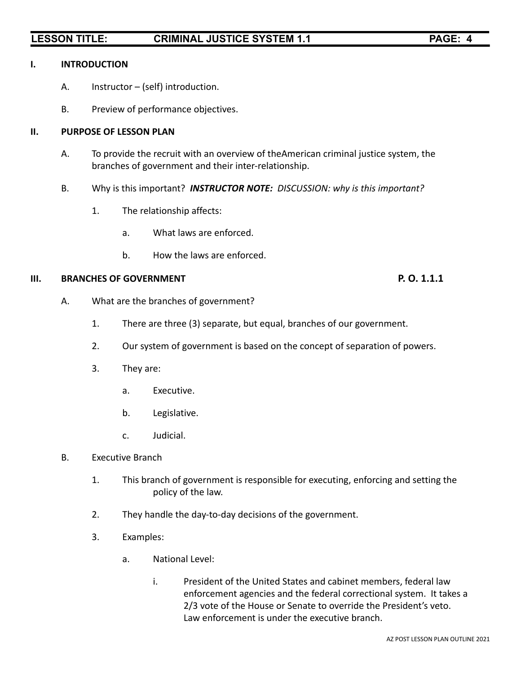### **I. INTRODUCTION**

- A. Instructor (self) introduction.
- B. Preview of performance objectives.

### **II. PURPOSE OF LESSON PLAN**

- A. To provide the recruit with an overview of theAmerican criminal justice system, the branches of government and their inter-relationship.
- B. Why is this important? *INSTRUCTOR NOTE: DISCUSSION: why is this important?*
	- 1. The relationship affects:
		- a. What laws are enforced.
		- b. How the laws are enforced.

### **III. BRANCHES OF GOVERNMENT P. O. 1.1.1**

- A. What are the branches of government?
	- 1. There are three (3) separate, but equal, branches of our government.
	- 2. Our system of government is based on the concept of separation of powers.
	- 3. They are:
		- a. Executive.
		- b. Legislative.
		- c. Judicial.
- B. Executive Branch
	- 1. This branch of government is responsible for executing, enforcing and setting the policy of the law.
	- 2. They handle the day-to-day decisions of the government.
	- 3. Examples:
		- a. National Level:
			- i. President of the United States and cabinet members, federal law enforcement agencies and the federal correctional system. It takes a 2/3 vote of the House or Senate to override the President's veto. Law enforcement is under the executive branch.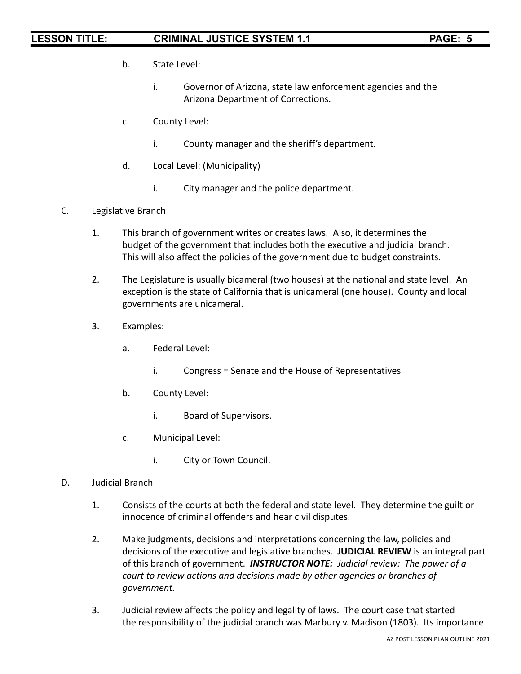- b. State Level:
	- i. Governor of Arizona, state law enforcement agencies and the Arizona Department of Corrections.
- c. County Level:
	- i. County manager and the sheriff's department.
- d. Local Level: (Municipality)
	- i. City manager and the police department.
- C. Legislative Branch
	- 1. This branch of government writes or creates laws. Also, it determines the budget of the government that includes both the executive and judicial branch. This will also affect the policies of the government due to budget constraints.
	- 2. The Legislature is usually bicameral (two houses) at the national and state level. An exception is the state of California that is unicameral (one house). County and local governments are unicameral.
	- 3. Examples:
		- a. Federal Level:
			- i. Congress = Senate and the House of Representatives
		- b. County Level:
			- i. Board of Supervisors.
		- c. Municipal Level:
			- i. City or Town Council.
- D. Judicial Branch
	- 1. Consists of the courts at both the federal and state level. They determine the guilt or innocence of criminal offenders and hear civil disputes.
	- 2. Make judgments, decisions and interpretations concerning the law, policies and decisions of the executive and legislative branches. **JUDICIAL REVIEW** is an integral part of this branch of government. *INSTRUCTOR NOTE: Judicial review: The power of a court to review actions and decisions made by other agencies or branches of government.*
	- 3. Judicial review affects the policy and legality of laws. The court case that started the responsibility of the judicial branch was Marbury v. Madison (1803). Its importance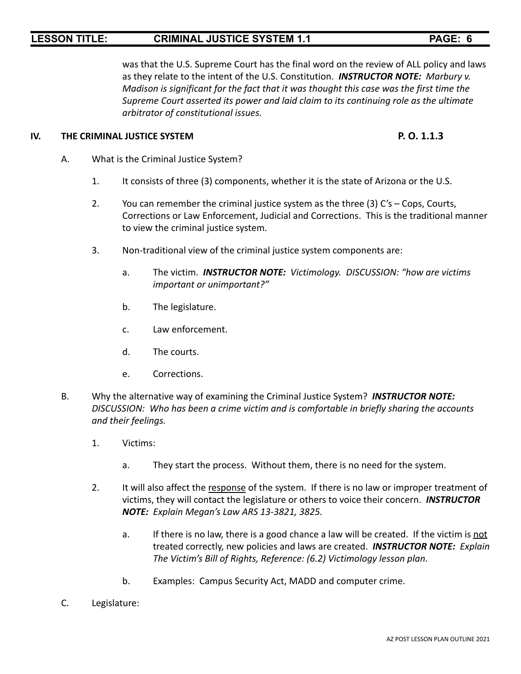was that the U.S. Supreme Court has the final word on the review of ALL policy and laws as they relate to the intent of the U.S. Constitution. *INSTRUCTOR NOTE: Marbury v. Madison is significant for the fact that it was thought this case was the first time the Supreme Court asserted its power and laid claim to its continuing role as the ultimate arbitrator of constitutional issues.*

### **IV. THE CRIMINAL JUSTICE SYSTEM P. O. 1.1.3**

- A. What is the Criminal Justice System?
	- 1. It consists of three (3) components, whether it is the state of Arizona or the U.S.
	- 2. You can remember the criminal justice system as the three (3) C's Cops, Courts, Corrections or Law Enforcement, Judicial and Corrections. This is the traditional manner to view the criminal justice system.
	- 3. Non-traditional view of the criminal justice system components are:
		- a. The victim. *INSTRUCTOR NOTE: Victimology. DISCUSSION: "how are victims important or unimportant?"*
		- b. The legislature.
		- c. Law enforcement.
		- d. The courts.
		- e. Corrections.
- B. Why the alternative way of examining the Criminal Justice System? *INSTRUCTOR NOTE: DISCUSSION: Who has been a crime victim and is comfortable in briefly sharing the accounts and their feelings.*
	- 1. Victims:
		- a. They start the process. Without them, there is no need for the system.
	- 2. It will also affect the response of the system. If there is no law or improper treatment of victims, they will contact the legislature or others to voice their concern. *INSTRUCTOR NOTE: Explain Megan's Law ARS 13-3821, 3825.*
		- a. If there is no law, there is a good chance a law will be created. If the victim is not treated correctly, new policies and laws are created. *INSTRUCTOR NOTE: Explain The Victim's Bill of Rights, Reference: (6.2) Victimology lesson plan.*
		- b. Examples: Campus Security Act, MADD and computer crime.
- C. Legislature: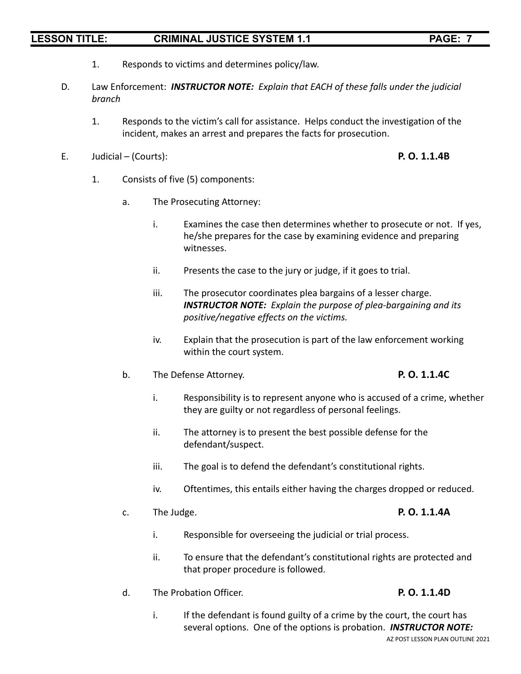- 1. Responds to victims and determines policy/law.
- D. Law Enforcement: *INSTRUCTOR NOTE: Explain that EACH of these falls under the judicial branch*
	- 1. Responds to the victim's call for assistance. Helps conduct the investigation of the incident, makes an arrest and prepares the facts for prosecution.
- E. Judicial (Courts): **P. O. 1.1.4B**

- 1. Consists of five (5) components:
	- a. The Prosecuting Attorney:
		- i. Examines the case then determines whether to prosecute or not. If yes, he/she prepares for the case by examining evidence and preparing witnesses.
		- ii. Presents the case to the jury or judge, if it goes to trial.
		- iii. The prosecutor coordinates plea bargains of a lesser charge. *INSTRUCTOR NOTE: Explain the purpose of plea-bargaining and its positive/negative effects on the victims.*
		- iv. Explain that the prosecution is part of the law enforcement working within the court system.
	- b. The Defense Attorney. **P. O. 1.1.4C**

- i. Responsibility is to represent anyone who is accused of a crime, whether they are guilty or not regardless of personal feelings.
- ii. The attorney is to present the best possible defense for the defendant/suspect.
- iii. The goal is to defend the defendant's constitutional rights.
- iv. Oftentimes, this entails either having the charges dropped or reduced.
- c. The Judge. **P. O. 1.1.4A**

- i. Responsible for overseeing the judicial or trial process.
- ii. To ensure that the defendant's constitutional rights are protected and that proper procedure is followed.
- d. The Probation Officer. **P. O. 1.1.4D**

i. If the defendant is found guilty of a crime by the court, the court has several options. One of the options is probation. *INSTRUCTOR NOTE:* AZ POST LESSON PLAN OUTLINE 2021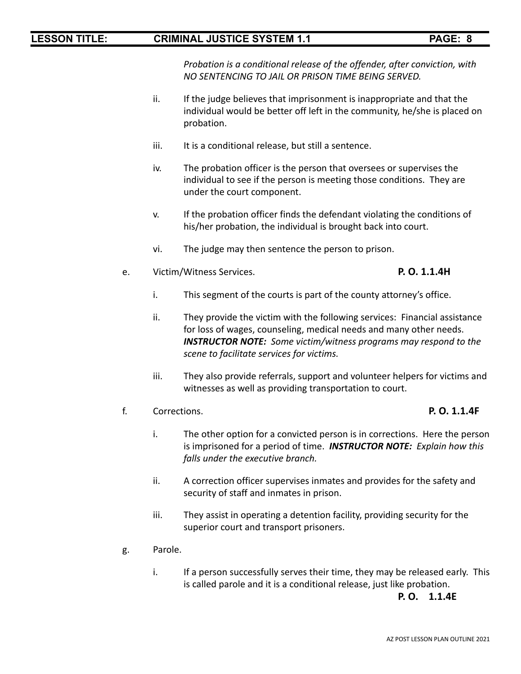*Probation is a conditional release of the offender, after conviction, with NO SENTENCING TO JAIL OR PRISON TIME BEING SERVED.*

- ii. If the judge believes that imprisonment is inappropriate and that the individual would be better off left in the community, he/she is placed on probation.
- iii. It is a conditional release, but still a sentence.
- iv. The probation officer is the person that oversees or supervises the individual to see if the person is meeting those conditions. They are under the court component.
- v. If the probation officer finds the defendant violating the conditions of his/her probation, the individual is brought back into court.
- vi. The judge may then sentence the person to prison.
- e. Victim/Witness Services. **P. O. 1.1.4H**

- i. This segment of the courts is part of the county attorney's office.
- ii. They provide the victim with the following services: Financial assistance for loss of wages, counseling, medical needs and many other needs. *INSTRUCTOR NOTE: Some victim/witness programs may respond to the scene to facilitate services for victims.*
- iii. They also provide referrals, support and volunteer helpers for victims and witnesses as well as providing transportation to court.
- f. Corrections. **P. O. 1.1.4F**
	- i. The other option for a convicted person is in corrections. Here the person is imprisoned for a period of time. *INSTRUCTOR NOTE: Explain how this falls under the executive branch.*
	- ii. A correction officer supervises inmates and provides for the safety and security of staff and inmates in prison.
	- iii. They assist in operating a detention facility, providing security for the superior court and transport prisoners.
- g. Parole.
	- i. If a person successfully serves their time, they may be released early. This is called parole and it is a conditional release, just like probation.

### **P. O. 1.1.4E**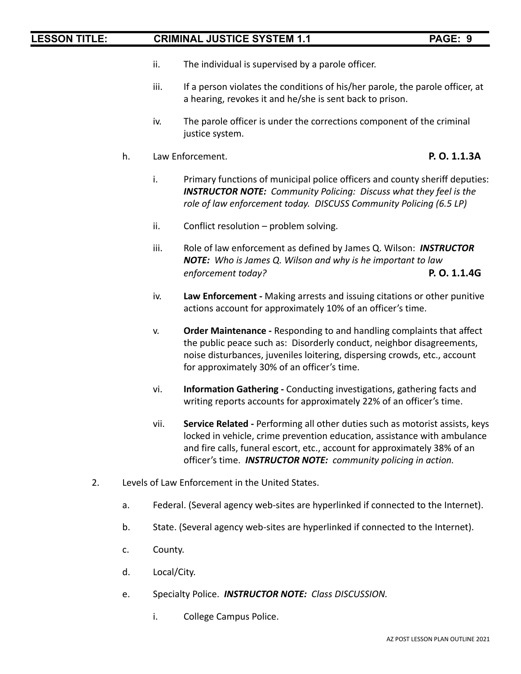- ii. The individual is supervised by a parole officer.
- iii. If a person violates the conditions of his/her parole, the parole officer, at a hearing, revokes it and he/she is sent back to prison.
- iv. The parole officer is under the corrections component of the criminal justice system.
- h. Law Enforcement. **P. O. 1.1.3A**

- i. Primary functions of municipal police officers and county sheriff deputies: *INSTRUCTOR NOTE: Community Policing: Discuss what they feel is the role of law enforcement today. DISCUSS Community Policing (6.5 LP)*
- ii. Conflict resolution problem solving.
- iii. Role of law enforcement as defined by James Q. Wilson: *INSTRUCTOR NOTE: Who is James Q. Wilson and why is he important to law enforcement today?* **P. O. 1.1.4G**
- iv. **Law Enforcement -** Making arrests and issuing citations or other punitive actions account for approximately 10% of an officer's time.
- v. **Order Maintenance -** Responding to and handling complaints that affect the public peace such as: Disorderly conduct, neighbor disagreements, noise disturbances, juveniles loitering, dispersing crowds, etc., account for approximately 30% of an officer's time.
- vi. **Information Gathering -** Conducting investigations, gathering facts and writing reports accounts for approximately 22% of an officer's time.
- vii. **Service Related -** Performing all other duties such as motorist assists, keys locked in vehicle, crime prevention education, assistance with ambulance and fire calls, funeral escort, etc., account for approximately 38% of an officer's time. *INSTRUCTOR NOTE: community policing in action.*
- 2. Levels of Law Enforcement in the United States.
	- a. Federal. (Several agency web-sites are hyperlinked if connected to the Internet).
	- b. State. (Several agency web-sites are hyperlinked if connected to the Internet).
	- c. County.
	- d. Local/City.
	- e. Specialty Police. *INSTRUCTOR NOTE: Class DISCUSSION.*
		- i. College Campus Police.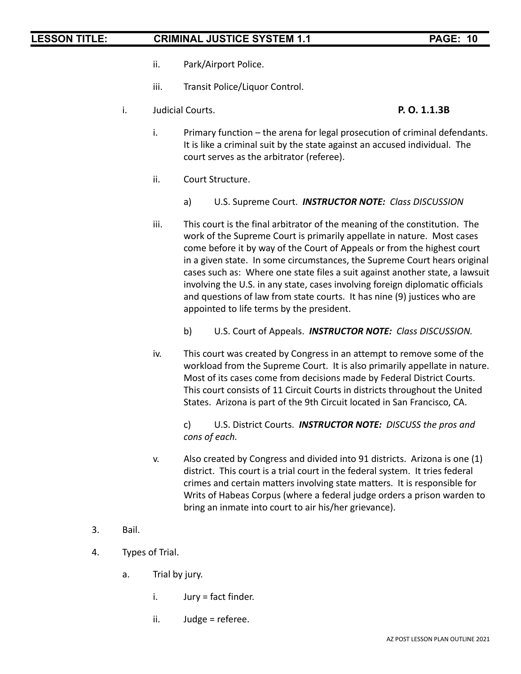- ii. Park/Airport Police.
- iii. Transit Police/Liquor Control.
- i. Judicial Courts. **P. O. 1.1.3B**

- i. Primary function the arena for legal prosecution of criminal defendants. It is like a criminal suit by the state against an accused individual. The court serves as the arbitrator (referee).
- ii. Court Structure.
	- a) U.S. Supreme Court. *INSTRUCTOR NOTE: Class DISCUSSION*
- iii. This court is the final arbitrator of the meaning of the constitution. The work of the Supreme Court is primarily appellate in nature. Most cases come before it by way of the Court of Appeals or from the highest court in a given state. In some circumstances, the Supreme Court hears original cases such as: Where one state files a suit against another state, a lawsuit involving the U.S. in any state, cases involving foreign diplomatic officials and questions of law from state courts. It has nine (9) justices who are appointed to life terms by the president.
	- b) U.S. Court of Appeals. *INSTRUCTOR NOTE: Class DISCUSSION.*
- iv. This court was created by Congress in an attempt to remove some of the workload from the Supreme Court. It is also primarily appellate in nature. Most of its cases come from decisions made by Federal District Courts. This court consists of 11 Circuit Courts in districts throughout the United States. Arizona is part of the 9th Circuit located in San Francisco, CA.

c) U.S. District Courts. *INSTRUCTOR NOTE: DISCUSS the pros and cons of each.*

- v. Also created by Congress and divided into 91 districts. Arizona is one (1) district. This court is a trial court in the federal system. It tries federal crimes and certain matters involving state matters. It is responsible for Writs of Habeas Corpus (where a federal judge orders a prison warden to bring an inmate into court to air his/her grievance).
- 3. Bail.
- 4. Types of Trial.
	- a. Trial by jury.
		- $i.$  Jury = fact finder.
		- ii. Judge = referee.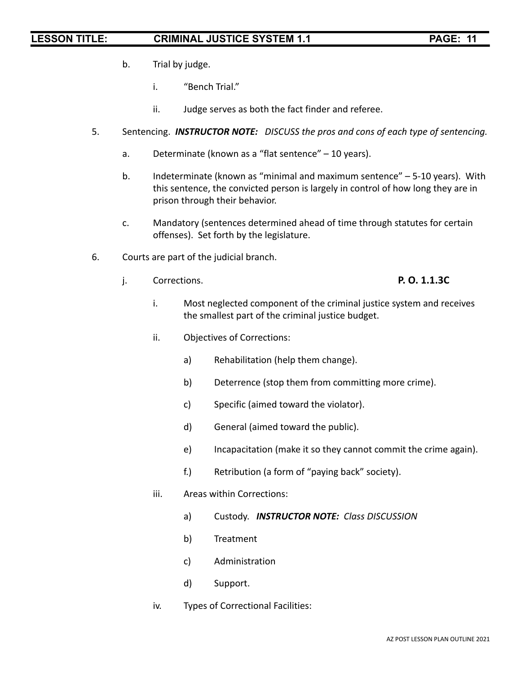- b. Trial by judge.
	- i. "Bench Trial."
	- ii. Judge serves as both the fact finder and referee.
- 5. Sentencing. *INSTRUCTOR NOTE: DISCUSS the pros and cons of each type of sentencing.*
	- a. Determinate (known as a "flat sentence" 10 years).
	- b. Indeterminate (known as "minimal and maximum sentence" 5-10 years). With this sentence, the convicted person is largely in control of how long they are in prison through their behavior.
	- c. Mandatory (sentences determined ahead of time through statutes for certain offenses). Set forth by the legislature.
- 6. Courts are part of the judicial branch.
	- j. Corrections. **P. O. 1.1.3C**

- i. Most neglected component of the criminal justice system and receives the smallest part of the criminal justice budget.
- ii. Objectives of Corrections:
	- a) Rehabilitation (help them change).
	- b) Deterrence (stop them from committing more crime).
	- c) Specific (aimed toward the violator).
	- d) General (aimed toward the public).
	- e) Incapacitation (make it so they cannot commit the crime again).
	- f.) Retribution (a form of "paying back" society).
- iii. Areas within Corrections:
	- a) Custody. *INSTRUCTOR NOTE: Class DISCUSSION*
	- b) Treatment
	- c) Administration
	- d) Support.
- iv. Types of Correctional Facilities: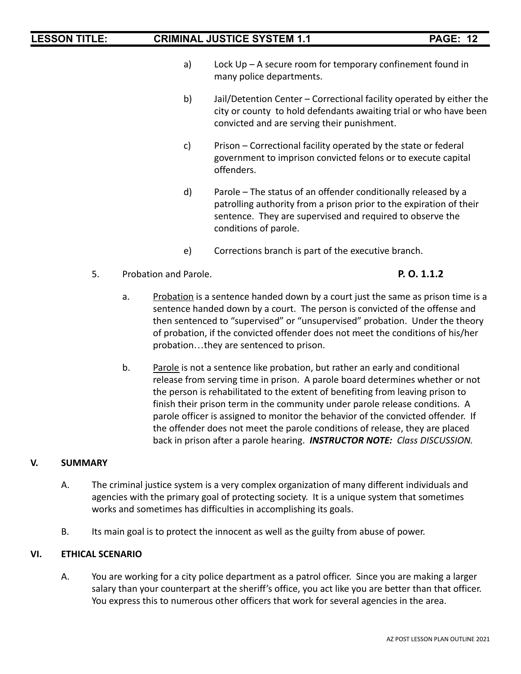- a) Lock Up A secure room for temporary confinement found in many police departments.
- b) Jail/Detention Center Correctional facility operated by either the city or county to hold defendants awaiting trial or who have been convicted and are serving their punishment.
- c) Prison Correctional facility operated by the state or federal government to imprison convicted felons or to execute capital offenders.
- d) Parole The status of an offender conditionally released by a patrolling authority from a prison prior to the expiration of their sentence. They are supervised and required to observe the conditions of parole.
- e) Corrections branch is part of the executive branch.
- 5. Probation and Parole. **P. O. 1.1.2**

- a. Probation is a sentence handed down by a court just the same as prison time is a sentence handed down by a court. The person is convicted of the offense and then sentenced to "supervised" or "unsupervised" probation. Under the theory of probation, if the convicted offender does not meet the conditions of his/her probation…they are sentenced to prison.
- b. Parole is not a sentence like probation, but rather an early and conditional release from serving time in prison. A parole board determines whether or not the person is rehabilitated to the extent of benefiting from leaving prison to finish their prison term in the community under parole release conditions. A parole officer is assigned to monitor the behavior of the convicted offender. If the offender does not meet the parole conditions of release, they are placed back in prison after a parole hearing. *INSTRUCTOR NOTE: Class DISCUSSION.*

### **V. SUMMARY**

- A. The criminal justice system is a very complex organization of many different individuals and agencies with the primary goal of protecting society. It is a unique system that sometimes works and sometimes has difficulties in accomplishing its goals.
- B. Its main goal is to protect the innocent as well as the guilty from abuse of power.

### **VI. ETHICAL SCENARIO**

A. You are working for a city police department as a patrol officer. Since you are making a larger salary than your counterpart at the sheriff's office, you act like you are better than that officer. You express this to numerous other officers that work for several agencies in the area.